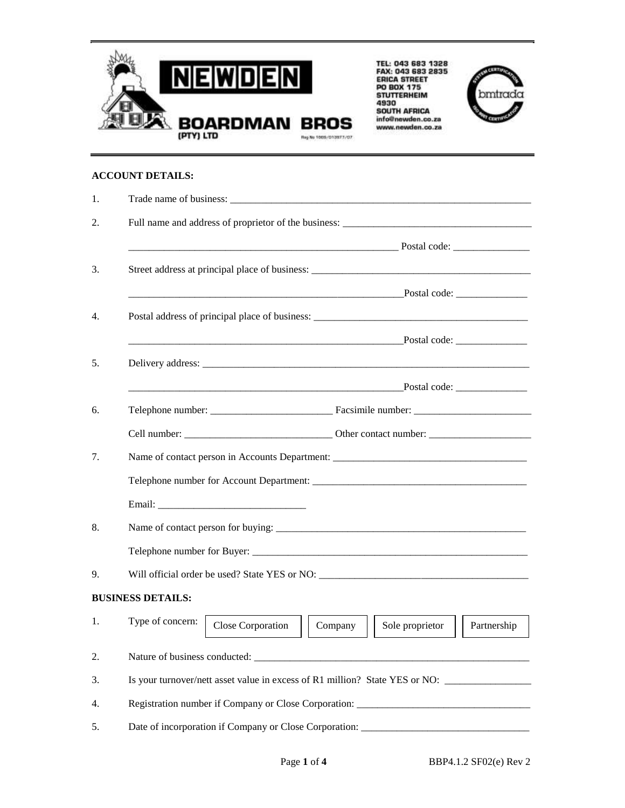

TEL: 043 683 1328<br>FAX: 043 683 2835<br>ERICA STREET<br>DO BOX 175<br>4930<br>SOUTH AFRICA<br>info@newden.co.za<br>www.newden.co.za



## **ACCOUNT DETAILS:**

| 1.                                                                                      |                                                                                                                                                                                                                                |  |  |  |  |  |  |
|-----------------------------------------------------------------------------------------|--------------------------------------------------------------------------------------------------------------------------------------------------------------------------------------------------------------------------------|--|--|--|--|--|--|
| 2.                                                                                      | Full name and address of proprietor of the business: ____________________________                                                                                                                                              |  |  |  |  |  |  |
|                                                                                         |                                                                                                                                                                                                                                |  |  |  |  |  |  |
| 3.                                                                                      | Street address at principal place of business: __________________________________                                                                                                                                              |  |  |  |  |  |  |
|                                                                                         |                                                                                                                                                                                                                                |  |  |  |  |  |  |
| 4.                                                                                      | Postal address of principal place of business: __________________________________                                                                                                                                              |  |  |  |  |  |  |
|                                                                                         |                                                                                                                                                                                                                                |  |  |  |  |  |  |
| 5.                                                                                      | Delivery address: experience to the contract of the contract of the contract of the contract of the contract of the contract of the contract of the contract of the contract of the contract of the contract of the contract o |  |  |  |  |  |  |
|                                                                                         |                                                                                                                                                                                                                                |  |  |  |  |  |  |
| 6.                                                                                      |                                                                                                                                                                                                                                |  |  |  |  |  |  |
|                                                                                         |                                                                                                                                                                                                                                |  |  |  |  |  |  |
| 7.<br>Name of contact person in Accounts Department: __________________________________ |                                                                                                                                                                                                                                |  |  |  |  |  |  |
|                                                                                         |                                                                                                                                                                                                                                |  |  |  |  |  |  |
|                                                                                         |                                                                                                                                                                                                                                |  |  |  |  |  |  |
| 8.                                                                                      |                                                                                                                                                                                                                                |  |  |  |  |  |  |
|                                                                                         |                                                                                                                                                                                                                                |  |  |  |  |  |  |
| 9.                                                                                      | Will official order be used? State YES or NO:                                                                                                                                                                                  |  |  |  |  |  |  |
|                                                                                         | <b>BUSINESS DETAILS:</b>                                                                                                                                                                                                       |  |  |  |  |  |  |
| 1.                                                                                      | Type of concern:<br>Close Corporation<br>Sole proprietor<br>Company<br>Partnership                                                                                                                                             |  |  |  |  |  |  |
| 2.                                                                                      |                                                                                                                                                                                                                                |  |  |  |  |  |  |
| 3.                                                                                      | Is your turnover/nett asset value in excess of R1 million? State YES or NO: ________________________                                                                                                                           |  |  |  |  |  |  |
| 4.                                                                                      | Registration number if Company or Close Corporation: ____________________________                                                                                                                                              |  |  |  |  |  |  |
| 5.                                                                                      |                                                                                                                                                                                                                                |  |  |  |  |  |  |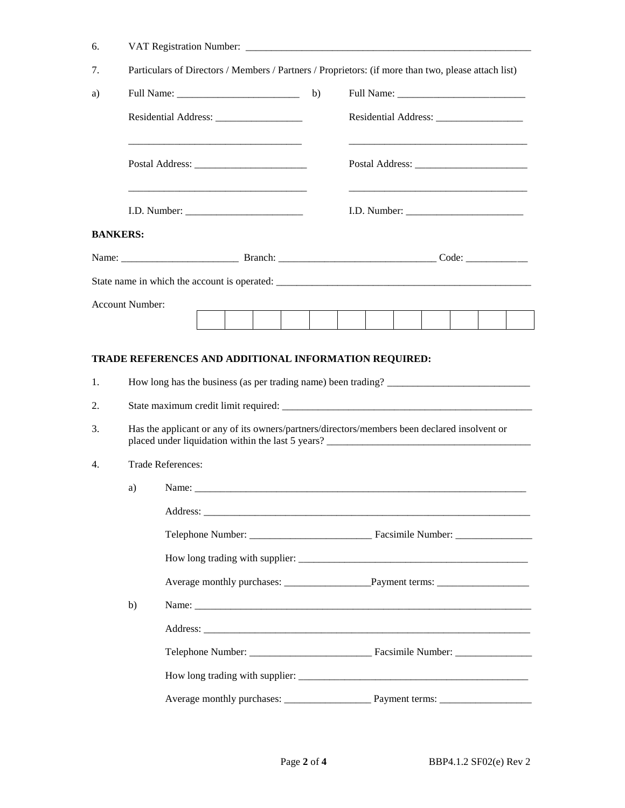| 6.             |                 |                                                                                                                                                                                                                                                                                        |  |                                 |  |  |  |  |  |  |  |  |
|----------------|-----------------|----------------------------------------------------------------------------------------------------------------------------------------------------------------------------------------------------------------------------------------------------------------------------------------|--|---------------------------------|--|--|--|--|--|--|--|--|
| 7.             |                 | Particulars of Directors / Members / Partners / Proprietors: (if more than two, please attach list)                                                                                                                                                                                    |  |                                 |  |  |  |  |  |  |  |  |
| a)             |                 |                                                                                                                                                                                                                                                                                        |  | b)                              |  |  |  |  |  |  |  |  |
|                |                 |                                                                                                                                                                                                                                                                                        |  |                                 |  |  |  |  |  |  |  |  |
|                |                 |                                                                                                                                                                                                                                                                                        |  |                                 |  |  |  |  |  |  |  |  |
|                |                 |                                                                                                                                                                                                                                                                                        |  |                                 |  |  |  |  |  |  |  |  |
|                | <b>BANKERS:</b> |                                                                                                                                                                                                                                                                                        |  |                                 |  |  |  |  |  |  |  |  |
|                |                 |                                                                                                                                                                                                                                                                                        |  |                                 |  |  |  |  |  |  |  |  |
|                |                 |                                                                                                                                                                                                                                                                                        |  |                                 |  |  |  |  |  |  |  |  |
|                | Account Number: |                                                                                                                                                                                                                                                                                        |  |                                 |  |  |  |  |  |  |  |  |
|                |                 |                                                                                                                                                                                                                                                                                        |  |                                 |  |  |  |  |  |  |  |  |
| 1.<br>2.<br>3. |                 | TRADE REFERENCES AND ADDITIONAL INFORMATION REQUIRED:<br>How long has the business (as per trading name) been trading?<br>Has the applicant or any of its owners/partners/directors/members been declared insolvent or                                                                 |  |                                 |  |  |  |  |  |  |  |  |
| 4.             |                 | Trade References:                                                                                                                                                                                                                                                                      |  |                                 |  |  |  |  |  |  |  |  |
|                | a)              |                                                                                                                                                                                                                                                                                        |  | How long trading with supplier: |  |  |  |  |  |  |  |  |
|                |                 |                                                                                                                                                                                                                                                                                        |  |                                 |  |  |  |  |  |  |  |  |
|                | b)              | Name: $\frac{1}{2}$ Name: $\frac{1}{2}$ Name: $\frac{1}{2}$ Name: $\frac{1}{2}$ Name: $\frac{1}{2}$ Name: $\frac{1}{2}$ Name: $\frac{1}{2}$ Name: $\frac{1}{2}$ Name: $\frac{1}{2}$ Name: $\frac{1}{2}$ Name: $\frac{1}{2}$ Name: $\frac{1}{2}$ Name: $\frac{1}{2}$ Name: $\frac{1}{2$ |  |                                 |  |  |  |  |  |  |  |  |
|                |                 |                                                                                                                                                                                                                                                                                        |  |                                 |  |  |  |  |  |  |  |  |
|                |                 |                                                                                                                                                                                                                                                                                        |  |                                 |  |  |  |  |  |  |  |  |
|                |                 |                                                                                                                                                                                                                                                                                        |  |                                 |  |  |  |  |  |  |  |  |
|                |                 |                                                                                                                                                                                                                                                                                        |  |                                 |  |  |  |  |  |  |  |  |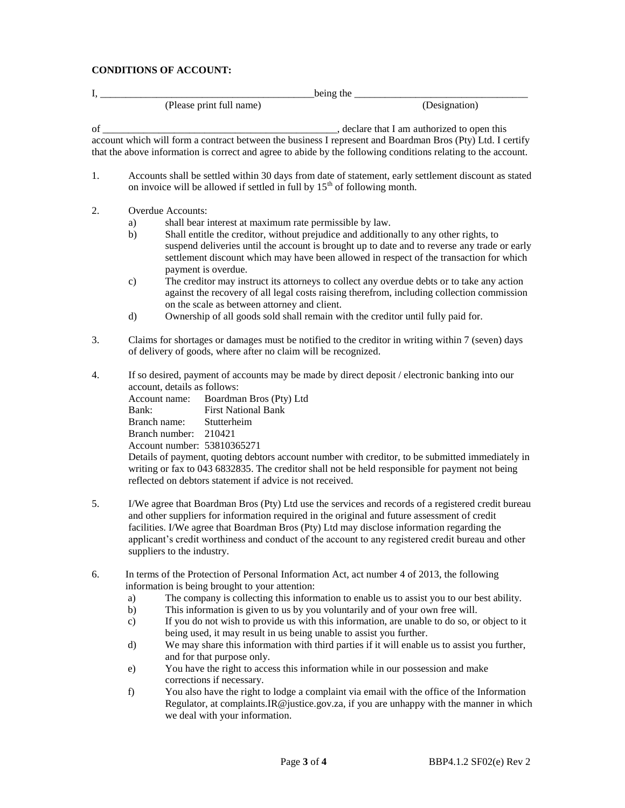## **CONDITIONS OF ACCOUNT:**

|                          | being the     |  |  |  |  |
|--------------------------|---------------|--|--|--|--|
| (Please print full name) | (Designation) |  |  |  |  |
|                          |               |  |  |  |  |

of \_\_\_\_\_\_\_\_\_\_\_\_\_\_\_\_\_\_\_\_\_\_\_\_\_\_\_\_\_\_\_\_\_\_\_\_\_\_\_\_\_\_\_\_\_\_, declare that I am authorized to open this

account which will form a contract between the business I represent and Boardman Bros (Pty) Ltd. I certify that the above information is correct and agree to abide by the following conditions relating to the account.

- 1. Accounts shall be settled within 30 days from date of statement, early settlement discount as stated on invoice will be allowed if settled in full by  $15<sup>th</sup>$  of following month.
- 2. Overdue Accounts:
	- a) shall bear interest at maximum rate permissible by law.
	- b) Shall entitle the creditor, without prejudice and additionally to any other rights, to suspend deliveries until the account is brought up to date and to reverse any trade or early settlement discount which may have been allowed in respect of the transaction for which payment is overdue.
	- c) The creditor may instruct its attorneys to collect any overdue debts or to take any action against the recovery of all legal costs raising therefrom, including collection commission on the scale as between attorney and client.
	- d) Ownership of all goods sold shall remain with the creditor until fully paid for.
- 3. Claims for shortages or damages must be notified to the creditor in writing within 7 (seven) days of delivery of goods, where after no claim will be recognized.
- 4. If so desired, payment of accounts may be made by direct deposit / electronic banking into our account, details as follows:

Account name: Boardman Bros (Pty) Ltd Bank: First National Bank Branch name: Stutterheim Branch number: 210421 Account number: 53810365271

Details of payment, quoting debtors account number with creditor, to be submitted immediately in writing or fax to 043 6832835. The creditor shall not be held responsible for payment not being reflected on debtors statement if advice is not received.

- 5. I/We agree that Boardman Bros (Pty) Ltd use the services and records of a registered credit bureau and other suppliers for information required in the original and future assessment of credit facilities. I/We agree that Boardman Bros (Pty) Ltd may disclose information regarding the applicant's credit worthiness and conduct of the account to any registered credit bureau and other suppliers to the industry.
- 6. In terms of the Protection of Personal Information Act, act number 4 of 2013, the following information is being brought to your attention:
	- a) The company is collecting this information to enable us to assist you to our best ability.
	- b) This information is given to us by you voluntarily and of your own free will.
	- c) If you do not wish to provide us with this information, are unable to do so, or object to it being used, it may result in us being unable to assist you further.
	- d) We may share this information with third parties if it will enable us to assist you further, and for that purpose only.
	- e) You have the right to access this information while in our possession and make corrections if necessary.
	- f) You also have the right to lodge a complaint via email with the office of the Information Regulator, at complaints.IR@justice.gov.za, if you are unhappy with the manner in which we deal with your information.